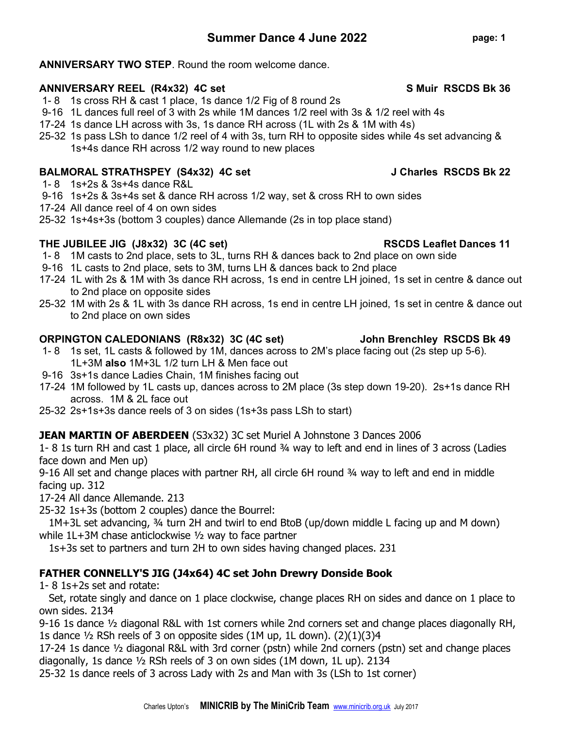#### ANNIVERSARY TWO STEP. Round the room welcome dance.

#### ANNIVERSARY REEL (R4x32) 4C set Sand Solution States And States States States States States States States States States States States States States States States States States States States States States States States Stat

- 1- 8 1s cross RH & cast 1 place, 1s dance 1/2 Fig of 8 round 2s
- 9-16 1L dances full reel of 3 with 2s while 1M dances 1/2 reel with 3s & 1/2 reel with 4s
- 17-24 1s dance LH across with 3s, 1s dance RH across (1L with 2s & 1M with 4s)
- 25-32 1s pass LSh to dance 1/2 reel of 4 with 3s, turn RH to opposite sides while 4s set advancing & 1s+4s dance RH across 1/2 way round to new places

## BALMORAL STRATHSPEY (S4x32) 4C set J Charles RSCDS Bk 22

- 1- 8 1s+2s & 3s+4s dance R&L
- 9-16 1s+2s & 3s+4s set & dance RH across 1/2 way, set & cross RH to own sides
- 17-24 All dance reel of 4 on own sides
- 25-32 1s+4s+3s (bottom 3 couples) dance Allemande (2s in top place stand)

### THE JUBILEE JIG (J8x32) 3C (4C set) THE JUBILEE 31G (38x32) 3C (4C set)

- 1- 8 1M casts to 2nd place, sets to 3L, turns RH & dances back to 2nd place on own side
- 9-16 1L casts to 2nd place, sets to 3M, turns LH & dances back to 2nd place
- 17-24 1L with 2s & 1M with 3s dance RH across, 1s end in centre LH joined, 1s set in centre & dance out to 2nd place on opposite sides
- 25-32 1M with 2s & 1L with 3s dance RH across, 1s end in centre LH joined, 1s set in centre & dance out to 2nd place on own sides

### ORPINGTON CALEDONIANS (R8x32) 3C (4C set) John Brenchley RSCDS Bk 49

- 1- 8 1s set, 1L casts & followed by 1M, dances across to 2M's place facing out (2s step up 5-6). 1L+3M also 1M+3L 1/2 turn LH & Men face out
- 9-16 3s+1s dance Ladies Chain, 1M finishes facing out
- 17-24 1M followed by 1L casts up, dances across to 2M place (3s step down 19-20). 2s+1s dance RH across. 1M & 2L face out
- 25-32 2s+1s+3s dance reels of 3 on sides (1s+3s pass LSh to start)

# **JEAN MARTIN OF ABERDEEN** (S3x32) 3C set Muriel A Johnstone 3 Dances 2006

1- 8 1s turn RH and cast 1 place, all circle 6H round ¾ way to left and end in lines of 3 across (Ladies face down and Men up)

9-16 All set and change places with partner RH, all circle 6H round  $\frac{3}{4}$  way to left and end in middle facing up. 312

17-24 All dance Allemande. 213

25-32 1s+3s (bottom 2 couples) dance the Bourrel:

 1M+3L set advancing, ¾ turn 2H and twirl to end BtoB (up/down middle L facing up and M down) while 1L+3M chase anticlockwise ½ way to face partner

1s+3s set to partners and turn 2H to own sides having changed places. 231

# FATHER CONNELLY'S JIG (J4x64) 4C set John Drewry Donside Book

1- 8 1s+2s set and rotate:

 Set, rotate singly and dance on 1 place clockwise, change places RH on sides and dance on 1 place to own sides. 2134

9-16 1s dance ½ diagonal R&L with 1st corners while 2nd corners set and change places diagonally RH, 1s dance ½ RSh reels of 3 on opposite sides (1M up, 1L down). (2)(1)(3)4

17-24 1s dance ½ diagonal R&L with 3rd corner (pstn) while 2nd corners (pstn) set and change places diagonally, 1s dance ½ RSh reels of 3 on own sides (1M down, 1L up). 2134

25-32 1s dance reels of 3 across Lady with 2s and Man with 3s (LSh to 1st corner)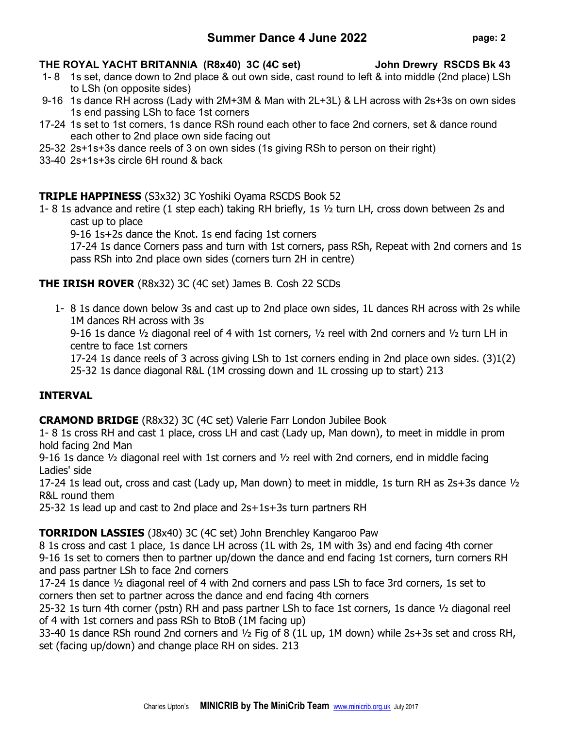# Summer Dance 4 June 2022 page: 2

# THE ROYAL YACHT BRITANNIA (R8x40) 3C (4C set) John Drewry RSCDS Bk 43

- 1- 8 1s set, dance down to 2nd place & out own side, cast round to left & into middle (2nd place) LSh to LSh (on opposite sides)
- 9-16 1s dance RH across (Lady with 2M+3M & Man with 2L+3L) & LH across with 2s+3s on own sides 1s end passing LSh to face 1st corners
- 17-24 1s set to 1st corners, 1s dance RSh round each other to face 2nd corners, set & dance round each other to 2nd place own side facing out
- 25-32 2s+1s+3s dance reels of 3 on own sides (1s giving RSh to person on their right)
- 33-40 2s+1s+3s circle 6H round & back

# TRIPLE HAPPINESS (S3x32) 3C Yoshiki Oyama RSCDS Book 52

1- 8 1s advance and retire (1 step each) taking RH briefly, 1s ½ turn LH, cross down between 2s and cast up to place

9-16 1s+2s dance the Knot. 1s end facing 1st corners

17-24 1s dance Corners pass and turn with 1st corners, pass RSh, Repeat with 2nd corners and 1s pass RSh into 2nd place own sides (corners turn 2H in centre)

# THE IRISH ROVER (R8x32) 3C (4C set) James B. Cosh 22 SCDs

1- 8 1s dance down below 3s and cast up to 2nd place own sides, 1L dances RH across with 2s while 1M dances RH across with 3s

9-16 1s dance  $\frac{1}{2}$  diagonal reel of 4 with 1st corners,  $\frac{1}{2}$  reel with 2nd corners and  $\frac{1}{2}$  turn LH in centre to face 1st corners

17-24 1s dance reels of 3 across giving LSh to 1st corners ending in 2nd place own sides. (3)1(2)

25-32 1s dance diagonal R&L (1M crossing down and 1L crossing up to start) 213

### INTERVAL

CRAMOND BRIDGE (R8x32) 3C (4C set) Valerie Farr London Jubilee Book

1- 8 1s cross RH and cast 1 place, cross LH and cast (Lady up, Man down), to meet in middle in prom hold facing 2nd Man

9-16 1s dance ½ diagonal reel with 1st corners and ½ reel with 2nd corners, end in middle facing Ladies' side

17-24 1s lead out, cross and cast (Lady up, Man down) to meet in middle, 1s turn RH as  $2s+3s$  dance  $\frac{1}{2}$ R&L round them

25-32 1s lead up and cast to 2nd place and 2s+1s+3s turn partners RH

### TORRIDON LASSIES (J8x40) 3C (4C set) John Brenchley Kangaroo Paw

8 1s cross and cast 1 place, 1s dance LH across (1L with 2s, 1M with 3s) and end facing 4th corner 9-16 1s set to corners then to partner up/down the dance and end facing 1st corners, turn corners RH and pass partner LSh to face 2nd corners

17-24 1s dance ½ diagonal reel of 4 with 2nd corners and pass LSh to face 3rd corners, 1s set to corners then set to partner across the dance and end facing 4th corners

25-32 1s turn 4th corner (pstn) RH and pass partner LSh to face 1st corners, 1s dance ½ diagonal reel of 4 with 1st corners and pass RSh to BtoB (1M facing up)

33-40 1s dance RSh round 2nd corners and ½ Fig of 8 (1L up, 1M down) while 2s+3s set and cross RH, set (facing up/down) and change place RH on sides. 213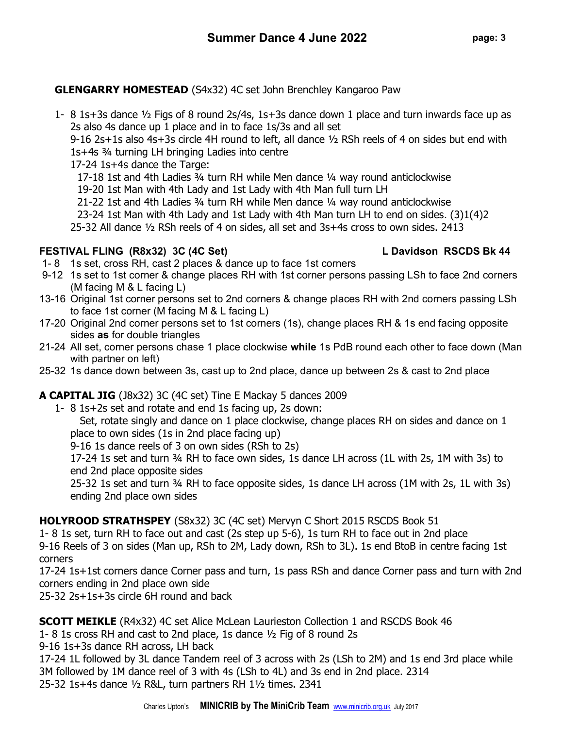### GLENGARRY HOMESTEAD (S4x32) 4C set John Brenchley Kangaroo Paw

1- 8 1s+3s dance ½ Figs of 8 round 2s/4s, 1s+3s dance down 1 place and turn inwards face up as 2s also 4s dance up 1 place and in to face 1s/3s and all set

9-16 2s+1s also 4s+3s circle 4H round to left, all dance ½ RSh reels of 4 on sides but end with 1s+4s ¾ turning LH bringing Ladies into centre

17-24 1s+4s dance the Targe:

17-18 1st and 4th Ladies ¾ turn RH while Men dance ¼ way round anticlockwise

19-20 1st Man with 4th Lady and 1st Lady with 4th Man full turn LH

21-22 1st and 4th Ladies ¾ turn RH while Men dance ¼ way round anticlockwise

23-24 1st Man with 4th Lady and 1st Lady with 4th Man turn LH to end on sides. (3)1(4)2

25-32 All dance ½ RSh reels of 4 on sides, all set and 3s+4s cross to own sides. 2413

## FESTIVAL FLING (R8x32) 3C (4C Set) L Davidson RSCDS Bk 44

- 1- 8 1s set, cross RH, cast 2 places & dance up to face 1st corners
- 9-12 1s set to 1st corner & change places RH with 1st corner persons passing LSh to face 2nd corners (M facing M & L facing L)
- 13-16 Original 1st corner persons set to 2nd corners & change places RH with 2nd corners passing LSh to face 1st corner (M facing M & L facing L)
- 17-20 Original 2nd corner persons set to 1st corners (1s), change places RH & 1s end facing opposite sides as for double triangles
- 21-24 All set, corner persons chase 1 place clockwise while 1s PdB round each other to face down (Man with partner on left)
- 25-32 1s dance down between 3s, cast up to 2nd place, dance up between 2s & cast to 2nd place

# A CAPITAL JIG (J8x32) 3C (4C set) Tine E Mackay 5 dances 2009

1- 8 1s+2s set and rotate and end 1s facing up, 2s down:

Set, rotate singly and dance on 1 place clockwise, change places RH on sides and dance on 1 place to own sides (1s in 2nd place facing up)

9-16 1s dance reels of 3 on own sides (RSh to 2s)

17-24 1s set and turn ¾ RH to face own sides, 1s dance LH across (1L with 2s, 1M with 3s) to end 2nd place opposite sides

25-32 1s set and turn ¾ RH to face opposite sides, 1s dance LH across (1M with 2s, 1L with 3s) ending 2nd place own sides

# HOLYROOD STRATHSPEY (S8x32) 3C (4C set) Mervyn C Short 2015 RSCDS Book 51

1- 8 1s set, turn RH to face out and cast (2s step up 5-6), 1s turn RH to face out in 2nd place 9-16 Reels of 3 on sides (Man up, RSh to 2M, Lady down, RSh to 3L). 1s end BtoB in centre facing 1st corners

17-24 1s+1st corners dance Corner pass and turn, 1s pass RSh and dance Corner pass and turn with 2nd corners ending in 2nd place own side

25-32 2s+1s+3s circle 6H round and back

SCOTT MEIKLE (R4x32) 4C set Alice McLean Laurieston Collection 1 and RSCDS Book 46

1- 8 1s cross RH and cast to 2nd place, 1s dance ½ Fig of 8 round 2s

9-16 1s+3s dance RH across, LH back

17-24 1L followed by 3L dance Tandem reel of 3 across with 2s (LSh to 2M) and 1s end 3rd place while 3M followed by 1M dance reel of 3 with 4s (LSh to 4L) and 3s end in 2nd place. 2314 25-32 1s+4s dance ½ R&L, turn partners RH 1½ times. 2341